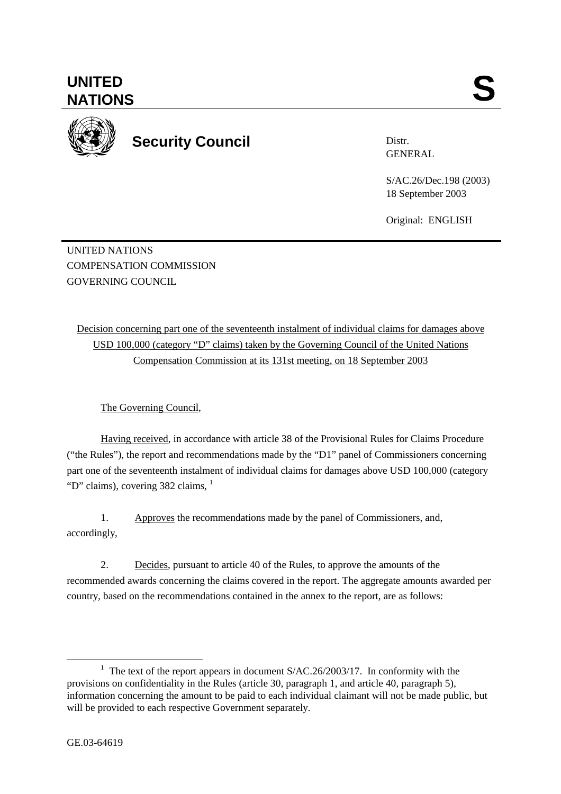

**Security Council** 

Distr. GENERAL

S/AC.26/Dec.198 (2003) 18 September 2003

Original: ENGLISH

UNITED NATIONS COMPENSATION COMMISSION GOVERNING COUNCIL

Decision concerning part one of the seventeenth instalment of individual claims for damages above USD 100,000 (category "D" claims) taken by the Governing Council of the United Nations Compensation Commission at its 131st meeting, on 18 September 2003

The Governing Council,

Having received, in accordance with article 38 of the Provisional Rules for Claims Procedure ("the Rules"), the report and recommendations made by the "D1" panel of Commissioners concerning part one of the seventeenth instalment of individual claims for damages above USD 100,000 (category "D" claims), covering 382 claims, <sup>1</sup>

1. Approves the recommendations made by the panel of Commissioners, and, accordingly,

2. Decides, pursuant to article 40 of the Rules, to approve the amounts of the recommended awards concerning the claims covered in the report. The aggregate amounts awarded per country, based on the recommendations contained in the annex to the report, are as follows:

<sup>&</sup>lt;u>1</u> <sup>1</sup> The text of the report appears in document  $S/AC.26/2003/17$ . In conformity with the provisions on confidentiality in the Rules (article 30, paragraph 1, and article 40, paragraph 5), information concerning the amount to be paid to each individual claimant will not be made public, but will be provided to each respective Government separately.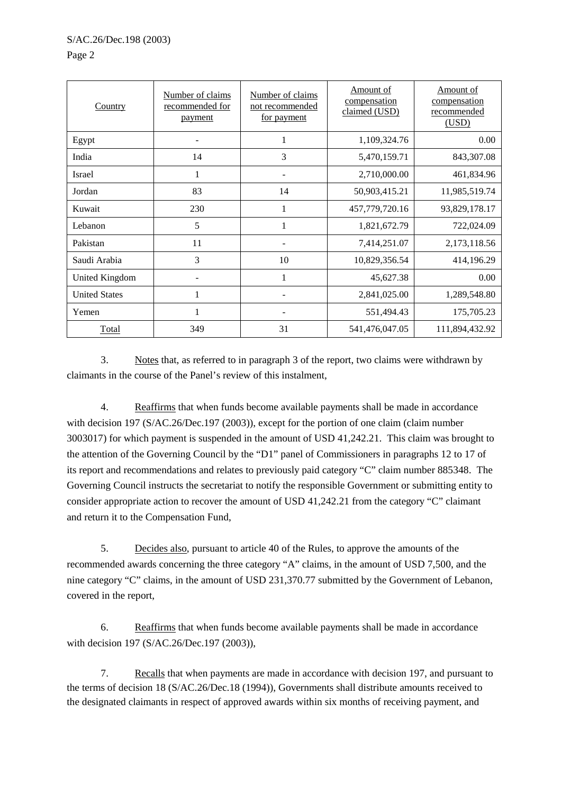| Country              | Number of claims<br>recommended for<br>payment | Number of claims<br>not recommended<br><u>for payment</u> | Amount of<br>compensation<br>claimed (USD) | Amount of<br>compensation<br>recommended<br>(USD) |
|----------------------|------------------------------------------------|-----------------------------------------------------------|--------------------------------------------|---------------------------------------------------|
| Egypt                |                                                |                                                           | 1,109,324.76                               | 0.00                                              |
| India                | 14                                             | 3                                                         | 5,470,159.71                               | 843,307.08                                        |
| Israel               | $\mathbf{1}$                                   |                                                           | 2,710,000.00                               | 461,834.96                                        |
| Jordan               | 83                                             | 14                                                        | 50,903,415.21                              | 11,985,519.74                                     |
| Kuwait               | 230                                            | 1                                                         | 457,779,720.16                             | 93,829,178.17                                     |
| Lebanon              | 5                                              | 1                                                         | 1,821,672.79                               | 722,024.09                                        |
| Pakistan             | 11                                             |                                                           | 7,414,251.07                               | 2,173,118.56                                      |
| Saudi Arabia         | 3                                              | 10                                                        | 10,829,356.54                              | 414,196.29                                        |
| United Kingdom       |                                                | 1                                                         | 45,627.38                                  | 0.00                                              |
| <b>United States</b> | 1                                              |                                                           | 2,841,025.00                               | 1,289,548.80                                      |
| Yemen                | 1                                              |                                                           | 551,494.43                                 | 175,705.23                                        |
| Total                | 349                                            | 31                                                        | 541,476,047.05                             | 111,894,432.92                                    |

3. Notes that, as referred to in paragraph 3 of the report, two claims were withdrawn by claimants in the course of the Panel's review of this instalment,

4. Reaffirms that when funds become available payments shall be made in accordance with decision 197 (S/AC.26/Dec.197 (2003)), except for the portion of one claim (claim number 3003017) for which payment is suspended in the amount of USD 41,242.21. This claim was brought to the attention of the Governing Council by the "D1" panel of Commissioners in paragraphs 12 to 17 of its report and recommendations and relates to previously paid category "C" claim number 885348. The Governing Council instructs the secretariat to notify the responsible Government or submitting entity to consider appropriate action to recover the amount of USD 41,242.21 from the category "C" claimant and return it to the Compensation Fund,

5. Decides also, pursuant to article 40 of the Rules, to approve the amounts of the recommended awards concerning the three category "A" claims, in the amount of USD 7,500, and the nine category "C" claims, in the amount of USD 231,370.77 submitted by the Government of Lebanon, covered in the report,

6. Reaffirms that when funds become available payments shall be made in accordance with decision 197 (S/AC.26/Dec.197 (2003)),

7. Recalls that when payments are made in accordance with decision 197, and pursuant to the terms of decision 18 (S/AC.26/Dec.18 (1994)), Governments shall distribute amounts received to the designated claimants in respect of approved awards within six months of receiving payment, and